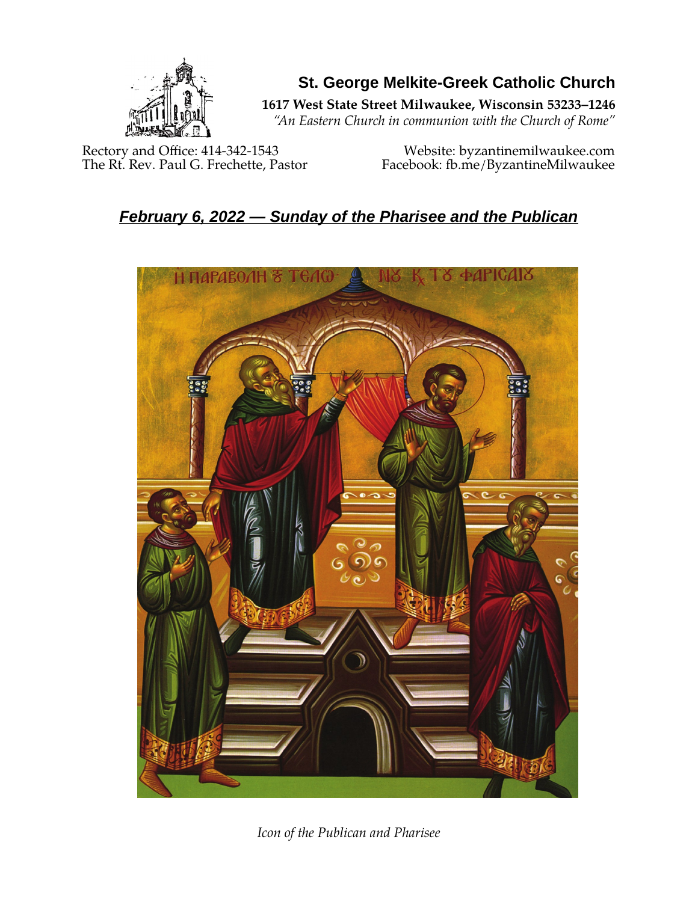

**St. George Melkite-Greek Catholic Church**

**1617 West State Street Milwaukee, Wisconsin 53233–1246**

*"An Eastern Church in communion with the Church of Rome"*

Rectory and Office: 414-342-1543 Website: [byzantinemilwaukee.com](https://byzantinemilwaukee.com/)

The Rt. Rev. Paul G. Frechette, Pastor Facebook: fb.me/ByzantineMilwaukee

# *February 6, 2022 — Sunday of the Pharisee and the Publican*



*Icon of the Publican and Pharisee*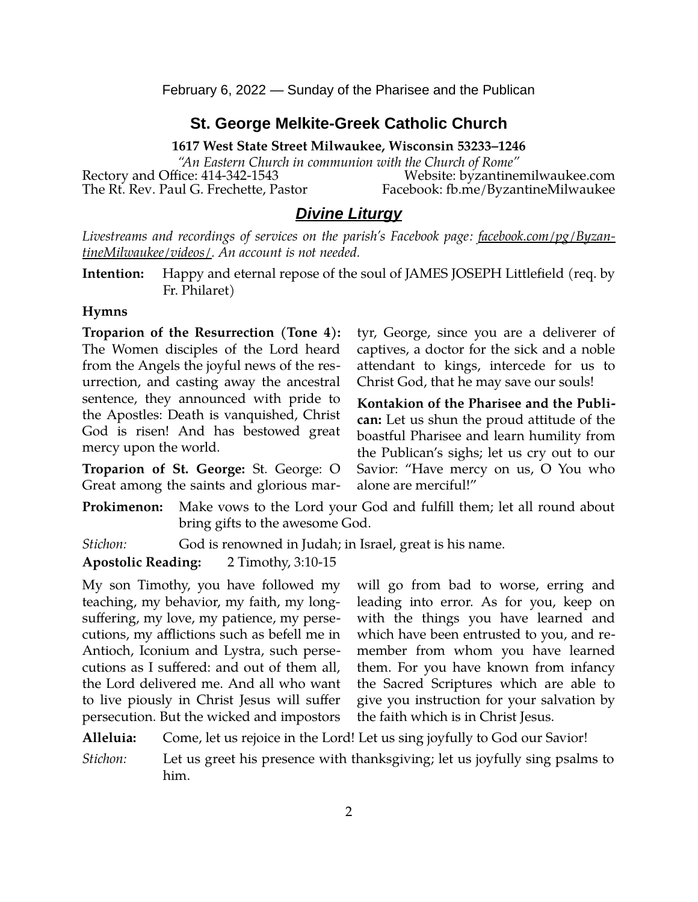February 6, 2022 — Sunday of the Pharisee and the Publican

### **St. George Melkite-Greek Catholic Church**

**1617 West State Street Milwaukee, Wisconsin 53233–1246**

*"An Eastern Church in communion with the Church of Rome"* Rectory and Office: 414-342-1543 Website: [byzantinemilwaukee.com](https://byzantinemilwaukee.com/) The Rt. Rev. Paul G. Frechette, Pastor Facebook: fb.me/ByzantineMilwaukee

### *Divine Liturgy*

*Livestreams and recordings of services on the parish's Facebook page: [facebook.com/pg/Byzan](https://www.facebook.com/pg/ByzantineMilwaukee/videos/)[tineMilwaukee/videos/.](https://www.facebook.com/pg/ByzantineMilwaukee/videos/) An account is not needed.*

**Intention:** Happy and eternal repose of the soul of JAMES JOSEPH Littlefield (req. by Fr. Philaret)

#### **Hymns**

**Troparion of the Resurrection (Tone 4):** The Women disciples of the Lord heard from the Angels the joyful news of the resurrection, and casting away the ancestral sentence, they announced with pride to the Apostles: Death is vanquished, Christ God is risen! And has bestowed great mercy upon the world.

**Troparion of St. George:** St. George: O Great among the saints and glorious martyr, George, since you are a deliverer of captives, a doctor for the sick and a noble attendant to kings, intercede for us to Christ God, that he may save our souls!

**Kontakion of the Pharisee and the Publican:** Let us shun the proud attitude of the boastful Pharisee and learn humility from the Publican's sighs; let us cry out to our Savior: "Have mercy on us, O You who alone are merciful!"

**Prokimenon:** Make vows to the Lord your God and fulfill them; let all round about bring gifts to the awesome God.

*Stichon:* God is renowned in Judah; in Israel, great is his name.

#### **Apostolic Reading:** 2 Timothy, 3:10-15

My son Timothy, you have followed my teaching, my behavior, my faith, my longsuffering, my love, my patience, my persecutions, my afflictions such as befell me in Antioch, Iconium and Lystra, such persecutions as I suffered: and out of them all, the Lord delivered me. And all who want to live piously in Christ Jesus will suffer persecution. But the wicked and impostors will go from bad to worse, erring and leading into error. As for you, keep on with the things you have learned and which have been entrusted to you, and remember from whom you have learned them. For you have known from infancy the Sacred Scriptures which are able to give you instruction for your salvation by the faith which is in Christ Jesus.

**Alleluia:** Come, let us rejoice in the Lord! Let us sing joyfully to God our Savior!

*Stichon:* Let us greet his presence with thanksgiving; let us joyfully sing psalms to him.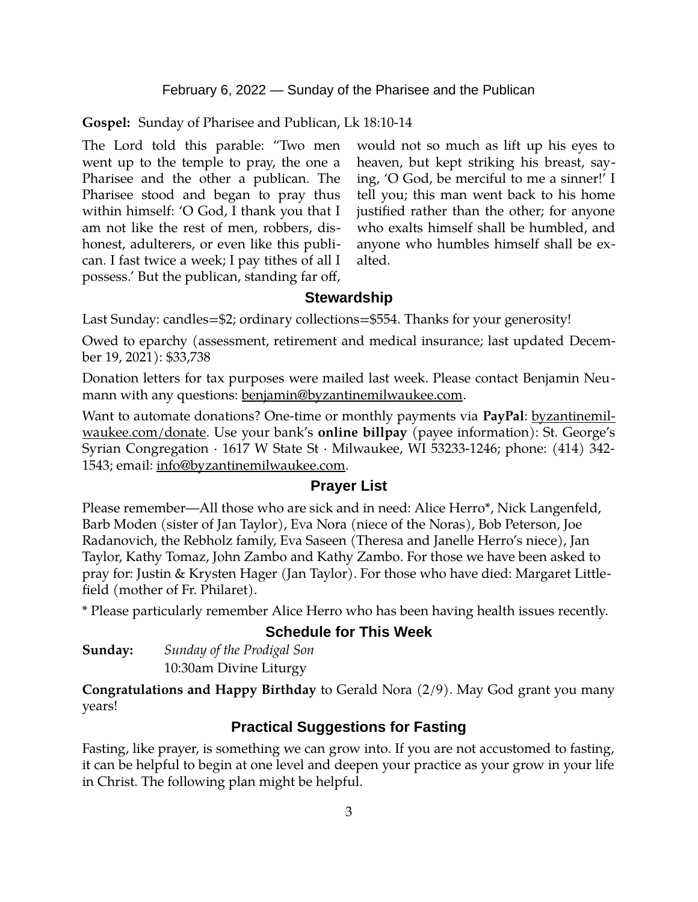February 6, 2022 — Sunday of the Pharisee and the Publican

**Gospel:** Sunday of Pharisee and Publican, Lk 18:10-14

The Lord told this parable: "Two men went up to the temple to pray, the one a Pharisee and the other a publican. The Pharisee stood and began to pray thus within himself: 'O God, I thank you that I am not like the rest of men, robbers, dishonest, adulterers, or even like this publican. I fast twice a week; I pay tithes of all I possess.' But the publican, standing far off,

would not so much as lift up his eyes to heaven, but kept striking his breast, saying, 'O God, be merciful to me a sinner!' I tell you; this man went back to his home justified rather than the other; for anyone who exalts himself shall be humbled, and anyone who humbles himself shall be exalted.

## **Stewardship**

Last Sunday: candles=\$2; ordinary collections=\$554. Thanks for your generosity!

Owed to eparchy (assessment, retirement and medical insurance; last updated December 19, 2021): \$33,738

Donation letters for tax purposes were mailed last week. Please contact Benjamin Neumann with any questions: [benjamin@byzantinemilwaukee.com](mailto:benjamin@byzantinemilwaukee.com).

Want to automate donations? One-time or monthly payments via **PayPal**: [byzantinemil](https://byzantinemilwaukee.com/donate/)[waukee.com/donate.](https://byzantinemilwaukee.com/donate/) Use your bank's **online billpay** (payee information): St. George's Syrian Congregation · 1617 W State St · Milwaukee, WI 53233-1246; phone: (414) 342- 1543; email: [info@byzantinemilwaukee.com](mailto:info@byzantinemilwaukee.com).

### **Prayer List**

Please remember—All those who are sick and in need: Alice Herro\*, Nick Langenfeld, Barb Moden (sister of Jan Taylor), Eva Nora (niece of the Noras), Bob Peterson, Joe Radanovich, the Rebholz family, Eva Saseen (Theresa and Janelle Herro's niece), Jan Taylor, Kathy Tomaz, John Zambo and Kathy Zambo. For those we have been asked to pray for: Justin & Krysten Hager (Jan Taylor). For those who have died: Margaret Littlefield (mother of Fr. Philaret).

\* Please particularly remember Alice Herro who has been having health issues recently.

# **Schedule for This Week**

| Sunday: | Sunday of the Prodigal Son |
|---------|----------------------------|
|         | 10:30am Divine Liturgy     |

**Congratulations and Happy Birthday** to Gerald Nora (2/9). May God grant you many years!

# **Practical Suggestions for Fasting**

Fasting, like prayer, is something we can grow into. If you are not accustomed to fasting, it can be helpful to begin at one level and deepen your practice as your grow in your life in Christ. The following plan might be helpful.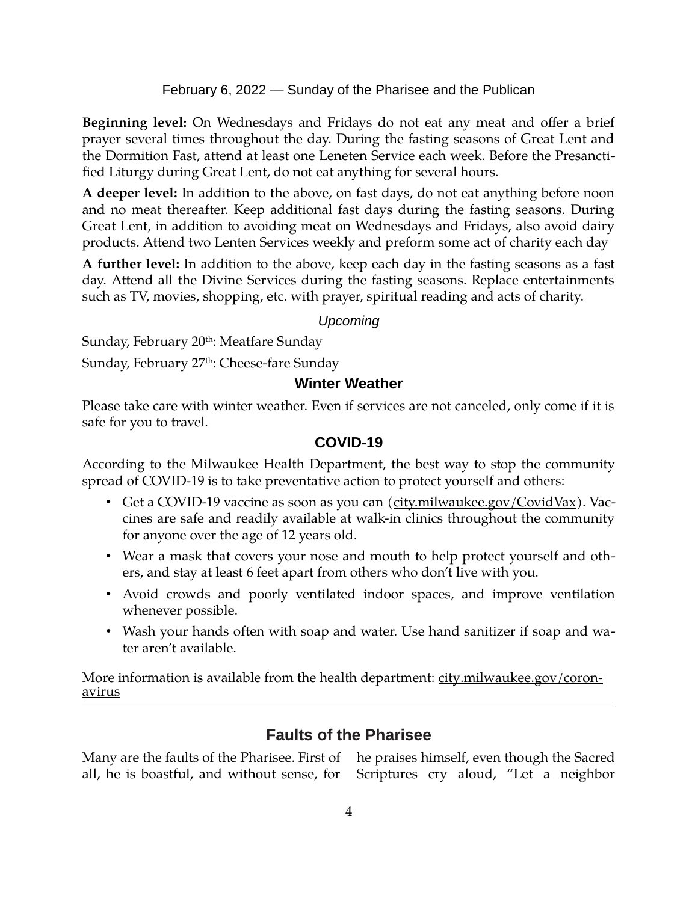February 6, 2022 — Sunday of the Pharisee and the Publican

**Beginning level:** On Wednesdays and Fridays do not eat any meat and offer a brief prayer several times throughout the day. During the fasting seasons of Great Lent and the Dormition Fast, attend at least one Leneten Service each week. Before the Presanctified Liturgy during Great Lent, do not eat anything for several hours.

**A deeper level:** In addition to the above, on fast days, do not eat anything before noon and no meat thereafter. Keep additional fast days during the fasting seasons. During Great Lent, in addition to avoiding meat on Wednesdays and Fridays, also avoid dairy products. Attend two Lenten Services weekly and preform some act of charity each day

**A further level:** In addition to the above, keep each day in the fasting seasons as a fast day. Attend all the Divine Services during the fasting seasons. Replace entertainments such as TV, movies, shopping, etc. with prayer, spiritual reading and acts of charity.

#### *Upcoming*

Sunday, February 20<sup>th</sup>: Meatfare Sunday

Sunday, February 27<sup>th</sup>: Cheese-fare Sunday

### **Winter Weather**

Please take care with winter weather. Even if services are not canceled, only come if it is safe for you to travel.

#### **[COVID-19](mailto:j1ordan2000@yahoo.com)**

According to the Milwaukee Health Department, the best way to stop the community spread of COVID-19 is to take preventative action to protect yourself and others:

- Get a COVID-19 vaccine as soon as you can [\(city.milwaukee.gov/CovidVax\)](https://city.milwaukee.gov/CovidVax). Vaccines are safe and readily available at walk-in clinics throughout the community for anyone over the age of 12 years old.
- Wear a mask that covers your nose and mouth to help protect yourself and others, and stay at least 6 feet apart from others who don't live with you.
- Avoid crowds and poorly ventilated indoor spaces, and improve ventilation whenever possible.
- Wash your hands often with soap and water. Use hand sanitizer if soap and water aren't available.

More information is available from the health department: [city.milwaukee.gov/coron](https://city.milwaukee.gov/coronavirus)[avirus](https://city.milwaukee.gov/coronavirus)

# **Faults of the Pharisee**

Many are the faults of the Pharisee. First of he praises himself, even though the Sacred all, he is boastful, and without sense, for Scriptures cry aloud, "Let a neighbor